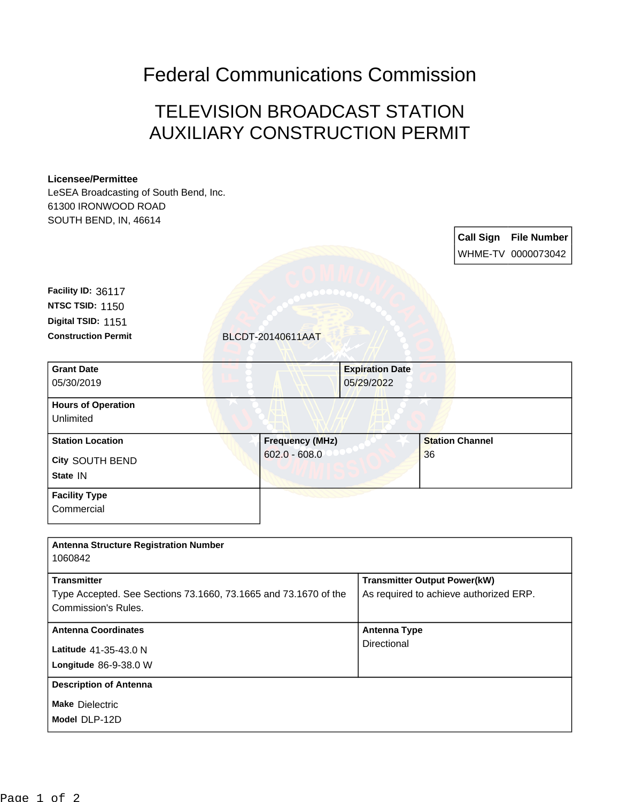## Federal Communications Commission

## TELEVISION BROADCAST STATION AUXILIARY CONSTRUCTION PERMIT

## **Licensee/Permittee**

LeSEA Broadcasting of South Bend, Inc. 61300 IRONWOOD ROAD SOUTH BEND, IN, 46614

|                                                                                        |  |                        |                        |                                     | <b>Call Sign</b>                       | <b>File Number</b><br>WHME-TV 0000073042 |  |
|----------------------------------------------------------------------------------------|--|------------------------|------------------------|-------------------------------------|----------------------------------------|------------------------------------------|--|
| Facility ID: 36117                                                                     |  |                        |                        |                                     |                                        |                                          |  |
| <b>NTSC TSID: 1150</b>                                                                 |  |                        |                        |                                     |                                        |                                          |  |
| Digital TSID: 1151                                                                     |  |                        |                        |                                     |                                        |                                          |  |
| <b>Construction Permit</b>                                                             |  | BLCDT-20140611AAT      |                        |                                     |                                        |                                          |  |
| <b>Grant Date</b>                                                                      |  |                        | <b>Expiration Date</b> |                                     |                                        |                                          |  |
| 05/30/2019                                                                             |  |                        | 05/29/2022             |                                     |                                        |                                          |  |
| <b>Hours of Operation</b><br>Unlimited                                                 |  |                        |                        |                                     |                                        |                                          |  |
| <b>Station Location</b>                                                                |  | <b>Frequency (MHz)</b> |                        | <b>Station Channel</b>              |                                        |                                          |  |
| City SOUTH BEND                                                                        |  | $602.0 - 608.0$        |                        | 36                                  |                                        |                                          |  |
| State IN                                                                               |  |                        |                        |                                     |                                        |                                          |  |
| <b>Facility Type</b>                                                                   |  |                        |                        |                                     |                                        |                                          |  |
| Commercial                                                                             |  |                        |                        |                                     |                                        |                                          |  |
|                                                                                        |  |                        |                        |                                     |                                        |                                          |  |
| <b>Antenna Structure Registration Number</b>                                           |  |                        |                        |                                     |                                        |                                          |  |
| 1060842                                                                                |  |                        |                        |                                     |                                        |                                          |  |
| <b>Transmitter</b>                                                                     |  |                        |                        | <b>Transmitter Output Power(kW)</b> |                                        |                                          |  |
| Type Accepted. See Sections 73.1660, 73.1665 and 73.1670 of the<br>Commission's Rules. |  |                        |                        |                                     | As required to achieve authorized ERP. |                                          |  |
|                                                                                        |  |                        |                        |                                     |                                        |                                          |  |
| <b>Antenna Coordinates</b>                                                             |  |                        |                        | <b>Antenna Type</b>                 |                                        |                                          |  |
| Latitude 41-35-43.0 N                                                                  |  |                        |                        | Directional                         |                                        |                                          |  |
| Longitude 86-9-38.0 W                                                                  |  |                        |                        |                                     |                                        |                                          |  |
| <b>Description of Antenna</b>                                                          |  |                        |                        |                                     |                                        |                                          |  |
| <b>Make Dielectric</b>                                                                 |  |                        |                        |                                     |                                        |                                          |  |
| Model DLP-12D                                                                          |  |                        |                        |                                     |                                        |                                          |  |